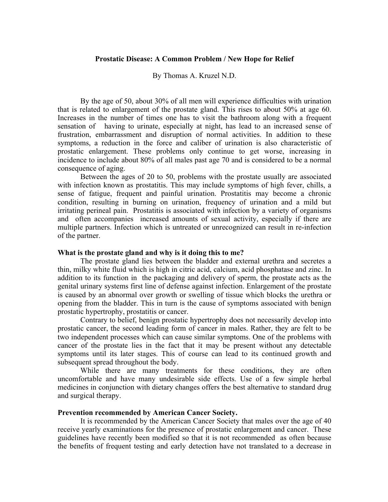## **Prostatic Disease: A Common Problem / New Hope for Relief**

By Thomas A. Kruzel N.D.

 By the age of 50, about 30% of all men will experience difficulties with urination that is related to enlargement of the prostate gland. This rises to about 50% at age 60. Increases in the number of times one has to visit the bathroom along with a frequent sensation of having to urinate, especially at night, has lead to an increased sense of frustration, embarrassment and disruption of normal activities. In addition to these symptoms, a reduction in the force and caliber of urination is also characteristic of prostatic enlargement. These problems only continue to get worse, increasing in incidence to include about 80% of all males past age 70 and is considered to be a normal consequence of aging.

 Between the ages of 20 to 50, problems with the prostate usually are associated with infection known as prostatitis. This may include symptoms of high fever, chills, a sense of fatigue, frequent and painful urination. Prostatitis may become a chronic condition, resulting in burning on urination, frequency of urination and a mild but irritating perineal pain. Prostatitis is associated with infection by a variety of organisms and often accompanies increased amounts of sexual activity, especially if there are multiple partners. Infection which is untreated or unrecognized can result in re-infection of the partner.

## **What is the prostate gland and why is it doing this to me?**

 The prostate gland lies between the bladder and external urethra and secretes a thin, milky white fluid which is high in citric acid, calcium, acid phosphatase and zinc. In addition to its function in the packaging and delivery of sperm, the prostate acts as the genital urinary systems first line of defense against infection. Enlargement of the prostate is caused by an abnormal over growth or swelling of tissue which blocks the urethra or opening from the bladder. This in turn is the cause of symptoms associated with benign prostatic hypertrophy, prostatitis or cancer.

 Contrary to belief, benign prostatic hypertrophy does not necessarily develop into prostatic cancer, the second leading form of cancer in males. Rather, they are felt to be two independent processes which can cause similar symptoms. One of the problems with cancer of the prostate lies in the fact that it may be present without any detectable symptoms until its later stages. This of course can lead to its continued growth and subsequent spread throughout the body.

While there are many treatments for these conditions, they are often uncomfortable and have many undesirable side effects. Use of a few simple herbal medicines in conjunction with dietary changes offers the best alternative to standard drug and surgical therapy.

## **Prevention recommended by American Cancer Society.**

 It is recommended by the American Cancer Society that males over the age of 40 receive yearly examinations for the presence of prostatic enlargement and cancer. These guidelines have recently been modified so that it is not recommended as often because the benefits of frequent testing and early detection have not translated to a decrease in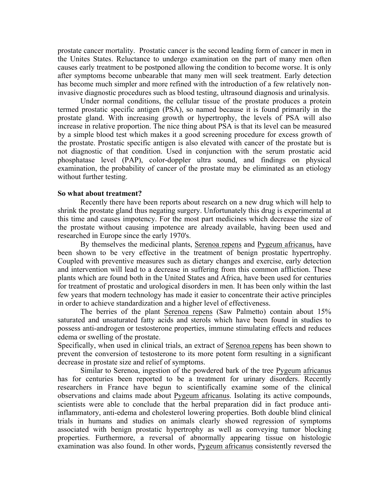prostate cancer mortality. Prostatic cancer is the second leading form of cancer in men in the Unites States. Reluctance to undergo examination on the part of many men often causes early treatment to be postponed allowing the condition to become worse. It is only after symptoms become unbearable that many men will seek treatment. Early detection has become much simpler and more refined with the introduction of a few relatively noninvasive diagnostic procedures such as blood testing, ultrasound diagnosis and urinalysis.

 Under normal conditions, the cellular tissue of the prostate produces a protein termed prostatic specific antigen (PSA), so named because it is found primarily in the prostate gland. With increasing growth or hypertrophy, the levels of PSA will also increase in relative proportion. The nice thing about PSA is that its level can be measured by a simple blood test which makes it a good screening procedure for excess growth of the prostate. Prostatic specific antigen is also elevated with cancer of the prostate but is not diagnostic of that condition. Used in conjunction with the serum prostatic acid phosphatase level (PAP), color-doppler ultra sound, and findings on physical examination, the probability of cancer of the prostate may be eliminated as an etiology without further testing.

## **So what about treatment?**

 Recently there have been reports about research on a new drug which will help to shrink the prostate gland thus negating surgery. Unfortunately this drug is experimental at this time and causes impotency. For the most part medicines which decrease the size of the prostate without causing impotence are already available, having been used and researched in Europe since the early 1970's.

 By themselves the medicinal plants, Serenoa repens and Pygeum africanus, have been shown to be very effective in the treatment of benign prostatic hypertrophy. Coupled with preventive measures such as dietary changes and exercise, early detection and intervention will lead to a decrease in suffering from this common affliction. These plants which are found both in the United States and Africa, have been used for centuries for treatment of prostatic and urological disorders in men. It has been only within the last few years that modern technology has made it easier to concentrate their active principles in order to achieve standardization and a higher level of effectiveness.

 The berries of the plant Serenoa repens (Saw Palmetto) contain about 15% saturated and unsaturated fatty acids and sterols which have been found in studies to possess anti-androgen or testosterone properties, immune stimulating effects and reduces edema or swelling of the prostate.

Specifically, when used in clinical trials, an extract of Serenoa repens has been shown to prevent the conversion of testosterone to its more potent form resulting in a significant decrease in prostate size and relief of symptoms.

 Similar to Serenoa, ingestion of the powdered bark of the tree Pygeum africanus has for centuries been reported to be a treatment for urinary disorders. Recently researchers in France have begun to scientifically examine some of the clinical observations and claims made about Pygeum africanus. Isolating its active compounds, scientists were able to conclude that the herbal preparation did in fact produce antiinflammatory, anti-edema and cholesterol lowering properties. Both double blind clinical trials in humans and studies on animals clearly showed regression of symptoms associated with benign prostatic hypertrophy as well as conveying tumor blocking properties. Furthermore, a reversal of abnormally appearing tissue on histologic examination was also found. In other words, Pygeum africanus consistently reversed the